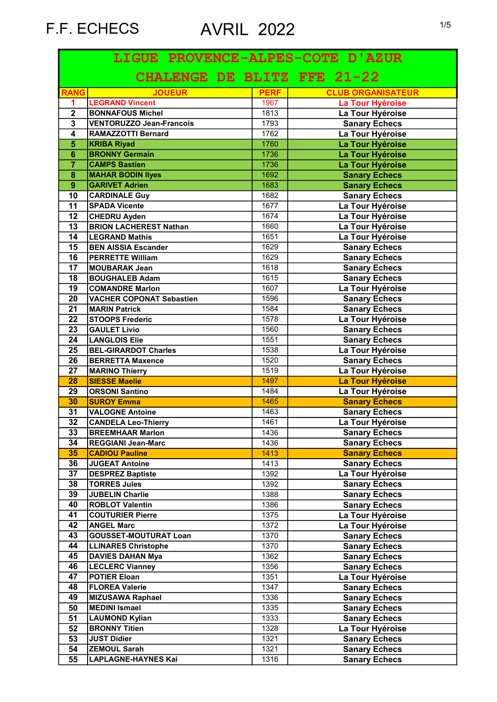|                         | LIGUE PROVENCE-ALPES-COTE D'AZUR |             |                          |
|-------------------------|----------------------------------|-------------|--------------------------|
|                         | CHALENGE DE BLITZ FFE 21-22      |             |                          |
| <b>RANG</b>             | <b>JOUEUR</b>                    | <b>PERF</b> | <b>CLUB ORGANISATEUR</b> |
| 1.                      | <b>LEGRAND Vincent</b>           | 1967        | La Tour Hyéroise         |
| $\overline{2}$          | <b>BONNAFOUS Michel</b>          | 1813        | La Tour Hyéroise         |
| $\overline{\mathbf{3}}$ | <b>VENTORUZZO Jean-Francois</b>  | 1793        | <b>Sanary Echecs</b>     |
| 4                       | RAMAZZOTTI Bernard               | 1762        | La Tour Hyéroise         |
| $\overline{\mathbf{5}}$ | <b>KRIBA Riyad</b>               | 1760        | La Tour Hyéroise         |
| $\overline{6}$          | <b>BRONNY Germain</b>            | 1736        | La Tour Hyéroise         |
| $\overline{\mathbf{7}}$ | <b>CAMPS Bastien</b>             | 1736        | La Tour Hyéroise         |
| $\overline{\mathbf{8}}$ | <b>MAHAR BODIN llyes</b>         | 1692        | <b>Sanary Echecs</b>     |
| $\overline{9}$          | <b>GARIVET Adrien</b>            | 1683        | <b>Sanary Echecs</b>     |
| 10                      | <b>CARDINALE Guy</b>             | 1682        | <b>Sanary Echecs</b>     |
| $\overline{11}$         | <b>SPADA Vicente</b>             | 1677        | La Tour Hyéroise         |
| $\overline{12}$         | <b>CHEDRU Ayden</b>              | 1674        | La Tour Hyéroise         |
| $\overline{13}$         | <b>BRION LACHEREST Nathan</b>    | 1660        | La Tour Hyéroise         |
| 14                      | <b>LEGRAND Mathis</b>            | 1651        | La Tour Hyéroise         |
| 15                      | <b>BEN AISSIA Escander</b>       | 1629        | <b>Sanary Echecs</b>     |
| 16                      | <b>PERRETTE William</b>          | 1629        | <b>Sanary Echecs</b>     |
| 17                      | <b>MOUBARAK Jean</b>             | 1618        | <b>Sanary Echecs</b>     |
| 18                      | <b>BOUGHALEB Adam</b>            | 1615        | <b>Sanary Echecs</b>     |
| 19                      | <b>COMANDRE Marlon</b>           | 1607        | La Tour Hyéroise         |
| 20                      |                                  | 1596        |                          |
|                         | <b>VACHER COPONAT Sebastien</b>  |             | <b>Sanary Echecs</b>     |
| 21                      | <b>MARIN Patrick</b>             | 1584        | <b>Sanary Echecs</b>     |
| 22                      | <b>STOOPS Frederic</b>           | 1578        | La Tour Hyéroise         |
| $\overline{23}$         | <b>GAULET Livio</b>              | 1560        | <b>Sanary Echecs</b>     |
| 24                      | <b>LANGLOIS Elie</b>             | 1551        | <b>Sanary Echecs</b>     |
| 25                      | <b>BEL-GIRARDOT Charles</b>      | 1538        | La Tour Hyéroise         |
| 26                      | <b>BERRETTA Maxence</b>          | 1520        | <b>Sanary Echecs</b>     |
| 27                      | <b>MARINO Thierry</b>            | 1519        | La Tour Hyéroise         |
| 28                      | <b>SIESSE Maelie</b>             | 1497        | La Tour Hyéroise         |
| 29                      | <b>ORSONI Santino</b>            | 1484        | La Tour Hyéroise         |
| 30                      | <b>SUROY Emma</b>                | 1465        | <b>Sanary Echecs</b>     |
| 31                      | <b>VALOGNE Antoine</b>           | 1463        | <b>Sanary Echecs</b>     |
| $\overline{32}$         | <b>CANDELA Leo-Thierry</b>       | 1461        | La Tour Hyéroise         |
| 33                      | <b>BREEMHAAR Marlon</b>          | 1436        | <b>Sanary Echecs</b>     |
| 34                      | <b>REGGIANI Jean-Marc</b>        | 1436        | <b>Sanary Echecs</b>     |
| 35                      | <b>CADIOU Pauline</b>            | 1413        | <b>Sanary Echecs</b>     |
| 36                      | <b>JUGEAT Antoine</b>            | 1413        | <b>Sanary Echecs</b>     |
| 37                      | <b>DESPREZ Baptiste</b>          | 1392        | La Tour Hyéroise         |
| 38                      | <b>TORRES Jules</b>              | 1392        | <b>Sanary Echecs</b>     |
| 39                      | <b>JUBELIN Charlie</b>           | 1388        | <b>Sanary Echecs</b>     |
| 40                      | <b>ROBLOT Valentin</b>           | 1386        | <b>Sanary Echecs</b>     |
| 41                      | <b>COUTURIER Pierre</b>          | 1375        | La Tour Hyéroise         |
| 42                      | <b>ANGEL Marc</b>                | 1372        | La Tour Hyéroise         |
| 43                      | <b>GOUSSET-MOUTURAT Loan</b>     | 1370        | <b>Sanary Echecs</b>     |
| 44                      | <b>LLINARES Christophe</b>       | 1370        | <b>Sanary Echecs</b>     |
| 45                      | <b>DAVIES DAHAN Mya</b>          | 1362        | <b>Sanary Echecs</b>     |
| 46                      | <b>LECLERC Vianney</b>           | 1356        | <b>Sanary Echecs</b>     |
| 47                      | <b>POTIER Eloan</b>              | 1351        | La Tour Hyéroise         |
| 48                      | <b>FLOREA Valerie</b>            | 1347        | <b>Sanary Echecs</b>     |
| 49                      | <b>MIZUSAWA Raphael</b>          | 1336        | <b>Sanary Echecs</b>     |
| 50                      | <b>MEDINI Ismael</b>             | 1335        | <b>Sanary Echecs</b>     |
| 51                      |                                  | 1333        | <b>Sanary Echecs</b>     |
| 52                      | <b>LAUMOND Kylian</b>            |             |                          |
|                         | <b>BRONNY Titien</b>             | 1328        | La Tour Hyéroise         |
| 53                      | <b>JUST Didier</b>               | 1321        | <b>Sanary Echecs</b>     |
| 54                      | <b>ZEMOUL Sarah</b>              | 1321        | <b>Sanary Echecs</b>     |
| 55                      | LAPLAGNE-HAYNES Kai              | 1316        | <b>Sanary Echecs</b>     |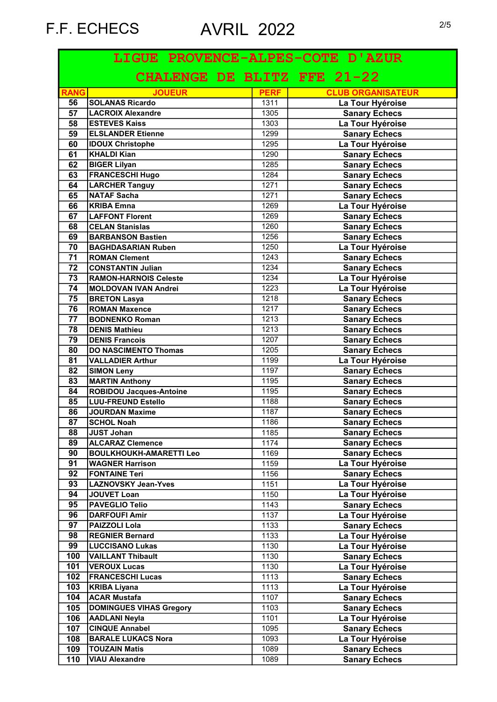| LIGUE PROVENCE-ALPES-COTE D'AZUR |                                |             |                          |
|----------------------------------|--------------------------------|-------------|--------------------------|
|                                  | CHALENGE DE BLITZ FFE 21-22    |             |                          |
| <b>RANG</b>                      | <b>JOUEUR</b>                  | <b>PERF</b> | <b>CLUB ORGANISATEUR</b> |
| 56                               | SOLANAS Ricardo                | 1311        | La Tour Hyéroise         |
| $\overline{57}$                  | LACROIX Alexandre              | 1305        | <b>Sanary Echecs</b>     |
| 58                               | <b>ESTEVES Kaiss</b>           | 1303        | La Tour Hyéroise         |
| 59                               | <b>ELSLANDER Etienne</b>       | 1299        | <b>Sanary Echecs</b>     |
| 60                               | <b>IDOUX Christophe</b>        | 1295        | La Tour Hyéroise         |
| 61                               | <b>KHALDI Kian</b>             | 1290        | <b>Sanary Echecs</b>     |
| 62                               | <b>BIGER Lilyan</b>            | 1285        | <b>Sanary Echecs</b>     |
| 63                               | <b>FRANCESCHI Hugo</b>         | 1284        | <b>Sanary Echecs</b>     |
| 64                               | <b>LARCHER Tanguy</b>          | 1271        | <b>Sanary Echecs</b>     |
| 65                               | NATAF Sacha                    | 1271        | <b>Sanary Echecs</b>     |
| 66                               | <b>KRIBA Emna</b>              | 1269        | La Tour Hyéroise         |
| 67                               | <b>LAFFONT Florent</b>         | 1269        | <b>Sanary Echecs</b>     |
| 68                               | <b>CELAN Stanislas</b>         | 1260        | <b>Sanary Echecs</b>     |
| 69                               | <b>BARBANSON Bastien</b>       | 1256        | <b>Sanary Echecs</b>     |
| 70                               | <b>BAGHDASARIAN Ruben</b>      | 1250        | La Tour Hyéroise         |
| $\overline{71}$                  | <b>ROMAN Clement</b>           | 1243        | <b>Sanary Echecs</b>     |
| $\overline{72}$                  | <b>CONSTANTIN Julian</b>       | 1234        | <b>Sanary Echecs</b>     |
| 73                               | <b>RAMON-HARNOIS Celeste</b>   | 1234        | La Tour Hyéroise         |
| 74                               | <b>MOLDOVAN IVAN Andrei</b>    | 1223        | La Tour Hyéroise         |
| 75                               | <b>BRETON Lasya</b>            | 1218        | <b>Sanary Echecs</b>     |
| 76                               | <b>ROMAN Maxence</b>           | 1217        | <b>Sanary Echecs</b>     |
| 77                               | <b>BODNENKO Roman</b>          | 1213        | <b>Sanary Echecs</b>     |
| 78                               | <b>DENIS Mathieu</b>           | 1213        | <b>Sanary Echecs</b>     |
| 79                               | <b>DENIS Francois</b>          | 1207        | <b>Sanary Echecs</b>     |
| 80                               | <b>DO NASCIMENTO Thomas</b>    | 1205        | <b>Sanary Echecs</b>     |
| 81                               | <b>VALLADIER Arthur</b>        | 1199        | La Tour Hyéroise         |
| 82                               | <b>SIMON Leny</b>              | 1197        | <b>Sanary Echecs</b>     |
| 83                               | <b>MARTIN Anthony</b>          | 1195        | <b>Sanary Echecs</b>     |
| 84                               | <b>ROBIDOU Jacques-Antoine</b> | 1195        | <b>Sanary Echecs</b>     |
| 85                               | <b>LUU-FREUND Estello</b>      | 1188        | <b>Sanary Echecs</b>     |
| 86                               | JOURDAN Maxime                 | 1187        | <b>Sanary Echecs</b>     |
| 87                               | <b>SCHOL Noah</b>              | 1186        | <b>Sanary Echecs</b>     |
| 88                               | JUST Johan                     | 1185        | <b>Sanary Echecs</b>     |
| 89                               | <b>ALCARAZ Clemence</b>        | 1174        | <b>Sanary Echecs</b>     |
| 90                               | <b>BOULKHOUKH-AMARETTI Leo</b> | 1169        | <b>Sanary Echecs</b>     |
| 91                               | <b>WAGNER Harrison</b>         | 1159        | La Tour Hyéroise         |
| 92                               | <b>FONTAINE Teri</b>           | 1156        | <b>Sanary Echecs</b>     |
| 93                               | <b>LAZNOVSKY Jean-Yves</b>     | 1151        | La Tour Hyéroise         |
| 94                               | JOUVET Loan                    | 1150        | La Tour Hyéroise         |
| 95                               | <b>PAVEGLIO Telio</b>          | 1143        | <b>Sanary Echecs</b>     |
| 96                               | <b>DARFOUFI Amir</b>           | 1137        | La Tour Hyéroise         |
| $\overline{97}$                  | PAIZZOLI Lola                  | 1133        | <b>Sanary Echecs</b>     |
| 98                               | <b>REGNIER Bernard</b>         | 1133        | La Tour Hyéroise         |
| 99                               | <b>LUCCISANO Lukas</b>         | 1130        | La Tour Hyéroise         |
| 100                              | <b>VAILLANT Thibault</b>       | 1130        | <b>Sanary Echecs</b>     |
| 101                              | <b>VEROUX Lucas</b>            | 1130        | La Tour Hyéroise         |
| 102                              | <b>FRANCESCHI Lucas</b>        | 1113        | <b>Sanary Echecs</b>     |
| 103                              | <b>KRIBA Liyana</b>            | 1113        | La Tour Hyéroise         |
| 104                              | <b>ACAR Mustafa</b>            | 1107        | <b>Sanary Echecs</b>     |
| 105                              | <b>DOMINGUES VIHAS Gregory</b> | 1103        | <b>Sanary Echecs</b>     |
| 106                              | <b>AADLANI Neyla</b>           | 1101        | La Tour Hyéroise         |
| 107                              | <b>CINQUE Annabel</b>          | 1095        |                          |
|                                  |                                |             | <b>Sanary Echecs</b>     |
| 108                              | <b>BARALE LUKACS Nora</b>      | 1093        | La Tour Hyéroise         |
| 109                              | <b>TOUZAIN Matis</b>           | 1089        | <b>Sanary Echecs</b>     |
| 110                              | <b>VIAU Alexandre</b>          | 1089        | <b>Sanary Echecs</b>     |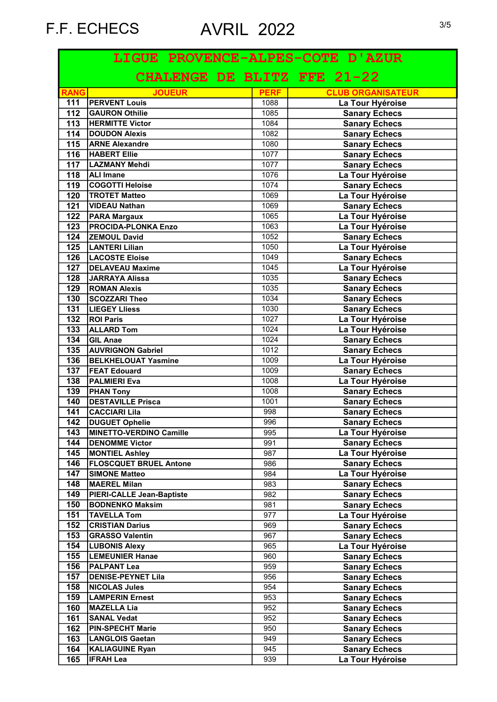|                   | LIGUE PROVENCE-ALPES-COTE D'AZUR |             |                          |
|-------------------|----------------------------------|-------------|--------------------------|
|                   | CHALENGE DE BLITZ FFE 21-22      |             |                          |
| <b>RANG</b>       | <b>JOUEUR</b>                    | <b>PERF</b> | <b>CLUB ORGANISATEUR</b> |
| 111               | <b>PERVENT Louis</b>             | 1088        | La Tour Hyéroise         |
| $112$             | <b>GAURON Othilie</b>            | 1085        | <b>Sanary Echecs</b>     |
| $\overline{113}$  | <b>HERMITTE Victor</b>           | 1084        | <b>Sanary Echecs</b>     |
| 114               | <b>DOUDON Alexis</b>             | 1082        | <b>Sanary Echecs</b>     |
| 115               | <b>ARNE Alexandre</b>            | 1080        | <b>Sanary Echecs</b>     |
| $\frac{116}{116}$ | <b>HABERT Ellie</b>              | 1077        | <b>Sanary Echecs</b>     |
| 117               | LAZMANY Mehdi                    | 1077        | <b>Sanary Echecs</b>     |
| $\overline{118}$  | <b>ALI Imane</b>                 | 1076        | La Tour Hyéroise         |
| 119               | <b>COGOTTI Heloise</b>           | 1074        | <b>Sanary Echecs</b>     |
| 120               | <b>TROTET Matteo</b>             | 1069        | La Tour Hyéroise         |
| 121               | <b>VIDEAU Nathan</b>             | 1069        | <b>Sanary Echecs</b>     |
| 122               | <b>PARA Margaux</b>              | 1065        | La Tour Hyéroise         |
| 123               | <b>PROCIDA-PLONKA Enzo</b>       | 1063        | La Tour Hyéroise         |
| 124               | <b>ZEMOUL David</b>              | 1052        | <b>Sanary Echecs</b>     |
| 125               | <b>LANTERI Lilian</b>            | 1050        | La Tour Hyéroise         |
| $126$             | <b>LACOSTE Eloise</b>            | 1049        | <b>Sanary Echecs</b>     |
| 127               | <b>DELAVEAU Maxime</b>           | 1045        | La Tour Hyéroise         |
| 128               | JARRAYA Alissa                   | 1035        | <b>Sanary Echecs</b>     |
| 129               | <b>ROMAN Alexis</b>              | 1035        | <b>Sanary Echecs</b>     |
| 130               | <b>SCOZZARI Theo</b>             | 1034        | <b>Sanary Echecs</b>     |
| $131$             | <b>LIEGEY LIIess</b>             | 1030        | <b>Sanary Echecs</b>     |
| $\overline{132}$  | <b>ROI Paris</b>                 | 1027        | La Tour Hyéroise         |
| $\overline{133}$  | <b>ALLARD Tom</b>                | 1024        | La Tour Hyéroise         |
| $\overline{134}$  | <b>GIL Anae</b>                  | 1024        | <b>Sanary Echecs</b>     |
| 135               | <b>AUVRIGNON Gabriel</b>         | 1012        | <b>Sanary Echecs</b>     |
| 136               | <b>BELKHELOUAT Yasmine</b>       | 1009        | La Tour Hyéroise         |
| 137               | <b>FEAT Edouard</b>              | 1009        | <b>Sanary Echecs</b>     |
| 138               | <b>PALMIERI Eva</b>              | 1008        | La Tour Hyéroise         |
| 139               | <b>PHAN Tony</b>                 | 1008        | <b>Sanary Echecs</b>     |
| 140               | <b>DESTAVILLE Prisca</b>         | 1001        | <b>Sanary Echecs</b>     |
| 141               | <b>CACCIARI Lila</b>             | 998         | <b>Sanary Echecs</b>     |
| $\overline{142}$  | <b>DUGUET Ophelie</b>            | 996         | <b>Sanary Echecs</b>     |
| 143               | MINETTO-VERDINO Camille          | 995         | La Tour Hyéroise         |
| 144               | <b>DENOMME Victor</b>            | 991         | <b>Sanary Echecs</b>     |
| 145               | <b>MONTIEL Ashley</b>            | 987         | La Tour Hyéroise         |
| 146               | <b>FLOSCQUET BRUEL Antone</b>    | 986         | <b>Sanary Echecs</b>     |
| 147               | <b>SIMONE Matteo</b>             | 984         | La Tour Hyéroise         |
| 148               | <b>MAEREL Milan</b>              | 983         | <b>Sanary Echecs</b>     |
| 149               | PIERI-CALLE Jean-Baptiste        | 982         | <b>Sanary Echecs</b>     |
| 150               | <b>BODNENKO Maksim</b>           | 981         | <b>Sanary Echecs</b>     |
| 151               | <b>TAVELLA Tom</b>               | 977         | La Tour Hyéroise         |
| 152               | <b>CRISTIAN Darius</b>           | 969         | <b>Sanary Echecs</b>     |
| 153               | <b>GRASSO Valentin</b>           | 967         | <b>Sanary Echecs</b>     |
| 154               | <b>LUBONIS Alexy</b>             | 965         | La Tour Hyéroise         |
| 155               | <b>LEMEUNIER Hanae</b>           | 960         | <b>Sanary Echecs</b>     |
| 156               | <b>PALPANT Lea</b>               | 959         | <b>Sanary Echecs</b>     |
| 157               | <b>DENISE-PEYNET Lila</b>        | 956         | <b>Sanary Echecs</b>     |
| 158               | <b>NICOLAS Jules</b>             | 954         | <b>Sanary Echecs</b>     |
| 159               | <b>LAMPERIN Ernest</b>           | 953         | <b>Sanary Echecs</b>     |
| 160               | <b>MAZELLA Lia</b>               | 952         | <b>Sanary Echecs</b>     |
| 161               | <b>SANAL Vedat</b>               | 952         | <b>Sanary Echecs</b>     |
| 162               | <b>PIN-SPECHT Marie</b>          | 950         | <b>Sanary Echecs</b>     |
| 163               | <b>LANGLOIS Gaetan</b>           | 949         | <b>Sanary Echecs</b>     |
| 164               | <b>KALIAGUINE Ryan</b>           | 945         | <b>Sanary Echecs</b>     |
| 165               | <b>IFRAH Lea</b>                 | 939         | La Tour Hyéroise         |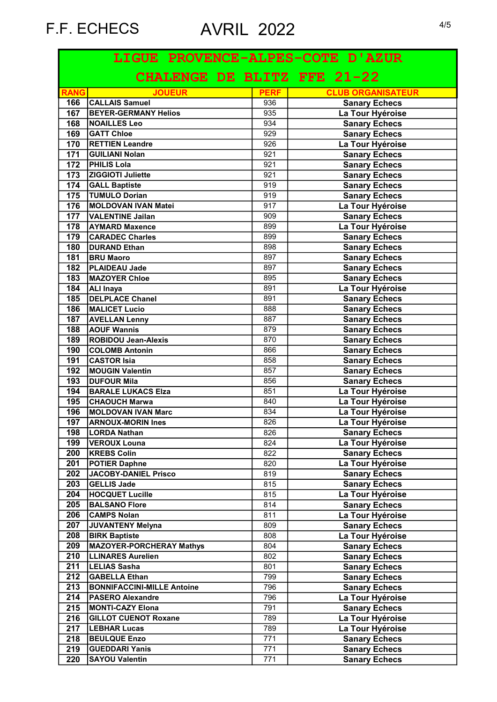| LIGUE PROVENCE-ALPES-COTE D'AZUR |                                   |             |                          |
|----------------------------------|-----------------------------------|-------------|--------------------------|
|                                  | CHALENGE DE BLITZ FFE 21-22       |             |                          |
| <b>RANG</b>                      | <b>JOUEUR</b>                     | <b>PERF</b> | <b>CLUB ORGANISATEUR</b> |
| 166                              | <b>CALLAIS Samuel</b>             | 936         | <b>Sanary Echecs</b>     |
| 167                              | <b>BEYER-GERMANY Helios</b>       | 935         | La Tour Hyéroise         |
| 168                              | <b>NOAILLES Leo</b>               | 934         | <b>Sanary Echecs</b>     |
| 169                              | <b>GATT Chloe</b>                 | 929         | <b>Sanary Echecs</b>     |
| 170                              | <b>RETTIEN Leandre</b>            | 926         | La Tour Hyéroise         |
| 171                              | <b>GUILIANI Nolan</b>             | 921         | <b>Sanary Echecs</b>     |
| 172                              | <b>PHILIS Lola</b>                | 921         | <b>Sanary Echecs</b>     |
| 173                              | <b>ZIGGIOTI Juliette</b>          | 921         | <b>Sanary Echecs</b>     |
| 174                              | <b>GALL Baptiste</b>              | 919         | <b>Sanary Echecs</b>     |
| 175                              | <b>TUMULO Dorian</b>              | 919         | <b>Sanary Echecs</b>     |
| 176                              | MOLDOVAN IVAN Matei               | 917         | La Tour Hyéroise         |
| 177                              | <b>VALENTINE Jailan</b>           | 909         | <b>Sanary Echecs</b>     |
| 178                              | <b>AYMARD Maxence</b>             | 899         | La Tour Hyéroise         |
| 179                              | <b>CARADEC Charles</b>            | 899         | <b>Sanary Echecs</b>     |
| $\overline{180}$                 | <b>DURAND Ethan</b>               | 898         | <b>Sanary Echecs</b>     |
| 181                              | <b>BRU Maoro</b>                  | 897         | <b>Sanary Echecs</b>     |
| 182                              | <b>PLAIDEAU Jade</b>              | 897         | <b>Sanary Echecs</b>     |
| 183                              | MAZOYER Chloe                     | 895         | <b>Sanary Echecs</b>     |
| 184                              | <b>ALI Inaya</b>                  | 891         | La Tour Hyéroise         |
| 185                              | <b>DELPLACE Chanel</b>            | 891         | <b>Sanary Echecs</b>     |
| 186                              | <b>MALICET Lucio</b>              | 888         | <b>Sanary Echecs</b>     |
| 187                              | <b>AVELLAN Lenny</b>              | 887         | <b>Sanary Echecs</b>     |
| 188                              | <b>AOUF Wannis</b>                | 879         | <b>Sanary Echecs</b>     |
| 189                              | <b>ROBIDOU Jean-Alexis</b>        | 870         | <b>Sanary Echecs</b>     |
| 190                              | <b>COLOMB Antonin</b>             | 866         | <b>Sanary Echecs</b>     |
| 191                              | <b>CASTOR Isia</b>                | 858         |                          |
|                                  |                                   |             | <b>Sanary Echecs</b>     |
| 192                              | MOUGIN Valentin                   | 857         | <b>Sanary Echecs</b>     |
| 193                              | <b>DUFOUR Mila</b>                | 856         | <b>Sanary Echecs</b>     |
| 194                              | <b>BARALE LUKACS Elza</b>         | 851         | La Tour Hyéroise         |
| 195                              | <b>CHAOUCH Marwa</b>              | 840         | La Tour Hyéroise         |
| 196                              | <b>MOLDOVAN IVAN Marc</b>         | 834         | La Tour Hyéroise         |
| 197                              | <b>ARNOUX-MORIN Ines</b>          | 826         | La Tour Hyéroise         |
| 198                              | LORDA Nathan                      | 826         | <b>Sanary Echecs</b>     |
| 199                              | <b>VEROUX Louna</b>               | 824         | La Tour Hyéroise         |
| 200                              | <b>KREBS Colin</b>                | 822         | <b>Sanary Echecs</b>     |
| 201                              | <b>POTIER Daphne</b>              | 820         | La Tour Hyéroise         |
| 202                              | JACOBY-DANIEL Prisco              | 819         | <b>Sanary Echecs</b>     |
| $\overline{203}$                 | <b>GELLIS Jade</b>                | 815         | <b>Sanary Echecs</b>     |
| 204                              | <b>HOCQUET Lucille</b>            | 815         | La Tour Hyéroise         |
| 205                              | <b>BALSANO Flore</b>              | 814         | <b>Sanary Echecs</b>     |
| 206                              | <b>CAMPS Nolan</b>                | 811         | La Tour Hyéroise         |
| 207                              | JUVANTENY Melyna                  | 809         | <b>Sanary Echecs</b>     |
| 208                              | <b>BIRK Baptiste</b>              | 808         | La Tour Hyéroise         |
| 209                              | <b>MAZOYER-PORCHERAY Mathys</b>   | 804         | <b>Sanary Echecs</b>     |
| 210                              | <b>LLINARES Aurelien</b>          | 802         | <b>Sanary Echecs</b>     |
| 211                              | <b>LELIAS Sasha</b>               | 801         | <b>Sanary Echecs</b>     |
| 212                              | <b>GABELLA Ethan</b>              | 799         | <b>Sanary Echecs</b>     |
| 213                              | <b>BONNIFACCINI-MILLE Antoine</b> | 796         | <b>Sanary Echecs</b>     |
| 214                              | <b>PASERO Alexandre</b>           | 796         | La Tour Hyéroise         |
|                                  |                                   |             |                          |
| 215                              | <b>MONTI-CAZY Elona</b>           | 791         | <b>Sanary Echecs</b>     |
| 216                              | <b>GILLOT CUENOT Roxane</b>       | 789         | La Tour Hyéroise         |
| 217                              | <b>LEBHAR Lucas</b>               | 789         | La Tour Hyéroise         |
| 218                              | <b>BEULQUE Enzo</b>               | 771         | <b>Sanary Echecs</b>     |
| 219                              | <b>GUEDDARI Yanis</b>             | 771         | <b>Sanary Echecs</b>     |
| 220                              | <b>SAYOU Valentin</b>             | 771         | <b>Sanary Echecs</b>     |